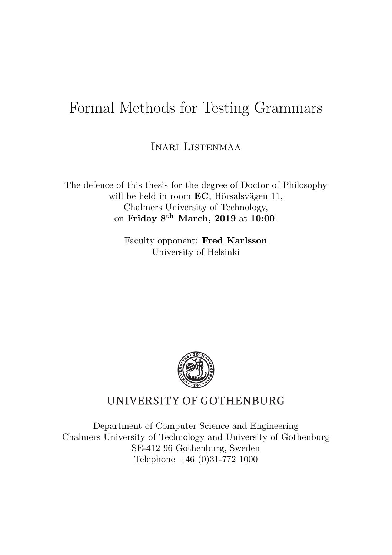## Formal Methods for Testing Grammars

Inari Listenmaa

The defence of this thesis for the degree of Doctor of Philosophy will be held in room  $EC$ , Hörsalsvägen 11, Chalmers University of Technology, on Friday 8th March, 2019 at 10:00.

> Faculty opponent: Fred Karlsson University of Helsinki



## UNIVERSITY OF GOTHENBURG

Department of Computer Science and Engineering Chalmers University of Technology and University of Gothenburg SE-412 96 Gothenburg, Sweden Telephone +46 (0)31-772 1000